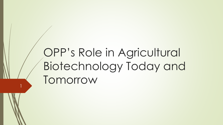# OPP's Role in Agricultural Biotechnology Today and Tomorrow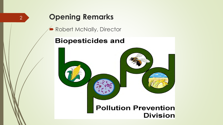# **Opening Remarks**

2

Robert McNally, Director

### **Biopesticides and**

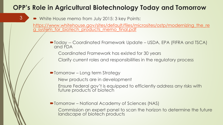### **OPP's Role in Agricultural Biotechnology Today and Tomorrow**

White House memo from July 2015: 3 key Points:

3

[https://www.whitehouse.gov/sites/default/files/microsites/ostp/modernizing\\_the\\_re](https://www.whitehouse.gov/sites/default/files/microsites/ostp/modernizing_the_reg_system_for_biotech_products_memo_final.pdf) g\_system\_for\_biotech\_products\_memo\_final.pdf

Today -- Coordinated Framework Update – USDA, EPA (FIFRA and TSCA) and FDA

Coordinated Framework has existed for 30 years

Clarify current roles and responsibilities in the regulatory process

■ Tomorrow – Long term Strategy

New products are in development

Ensure Federal gov't is equipped to efficiently address any risks with future products of biotech

■ Tomorrow – National Academy of Sciences (NAS)

Commission an expert panel to scan the horizon to determine the future landscape of biotech products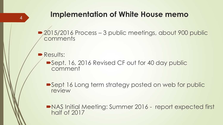## **Implementation of White House memo**

■ 2015/2016 Process – 3 public meetings, about 900 public comments

**Results:** 

4

■Sept. 16, 2016 Revised CF out for 40 day public comment

■Sept 16 Long term strategy posted on web for public review

NAS Initial Meeting: Summer 2016 - report expected first half of 2017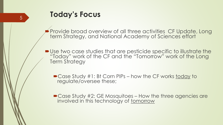### **Today's Focus**

Provide broad overview of all three activities CF Update, Long term Strategy, and National Academy of Sciences effort

- Use two case studies that are pesticide specific to illustrate the "Today" work of the CF and the "Tomorrow" work of the Long **Term Strategy** 
	- Case Study #1: Bt Corn PIPs how the CF works today to regulate/oversee these;
	- Case Study #2: GE Mosquitoes How the three agencies are involved in this technology of tomorrow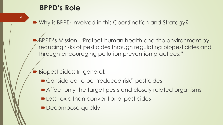### **BPPD's Role**

6

■ Why is BPPD Involved in this Coordination and Strategy?

 BPPD's Mission: "Protect human health and the environment by reducing risks of pesticides through regulating biopesticides and through encouraging pollution prevention practices."

- Biopesticides: In general:
	- Considered to be "reduced risk" pesticides
	- Affect only the target pests and closely related organisms
	- **-Less toxic than conventional pesticides**
	- Decompose quickly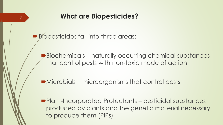### **What are Biopesticides?**

Biopesticides fall into three areas:

- Biochemicals naturally occurring chemical substances that control pests with non-toxic mode of action
- Microbials microorganisms that control pests
- Plant-Incorporated Protectants pesticidal substances produced by plants and the genetic material necessary to produce them (PIPs)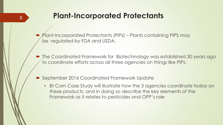Plant-Incorporated Protectants (PIPs) – Plants containing PIPS may be regulated by FDA and USDA.

 The Coordinated Framework for Biotechnology was established 30 years ago to coordinate efforts across all three agencies on things like PIPs.

September 2016 Coordinated Framework Update

8

• Bt Corn Case Study will illustrate how the 3 agencies coordinate today on these products, and in doing so describe the key elements of the Framework as it relates to pesticides and OPP's role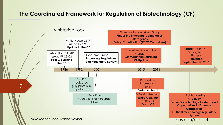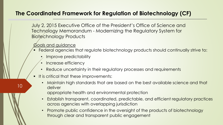July 2, 2015 Executive Office of the President's Office of Science and Technology Memorandum - Modernizing the Regulatory System for **Biotechnology Products** 

Goals and guidance

10

- Federal agencies that regulate biotechnology products should continually strive to:
	- Improve predictability
	- Increase efficiency
	- Reduce uncertainty in their regulatory processes and requirements
- **If is critical that these improvements:** 
	- Maintain high standards that are based on the best available science and that deliver

appropriate health and environmental protection

- Establish transparent, coordinated, predictable, and efficient regulatory practices across agencies with overlapping jurisdiction
- Promote public confidence in the oversight of the products of biotechnology through clear and transparent public engagement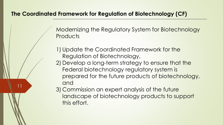11

Modernizing the Regulatory System for Biotechnology **Products** 

- 1) Update the Coordinated Framework for the Regulation of Biotechnology,
- 2) Develop a long-term strategy to ensure that the Federal biotechnology regulatory system is prepared for the future products of biotechnology, and
- 3) Commission an expert analysis of the future landscape of biotechnology products to support this effort.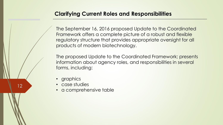#### **Clarifying Current Roles and Responsibilities**

The September 16, 2016 proposed Update to the Coordinated Framework offers a complete picture of a robust and flexible regulatory structure that provides appropriate oversight for all products of modern biotechnology.

The proposed Update to the Coordinated Framework; presents information about agency roles, and responsibilities in several forms, including:

• graphics

- case studies
- a comprehensive table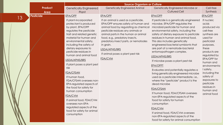|    |                                                                                                                       | <b>Source Organism or Culture</b>                                                                                                                                                                                                                                                                                                                                                                                                                                                                                       |                                                                                                                                                                                                                                                                                                                                                                             |                                                                                                                                                                                                                                                                                                                                                                                                                                                                                                                                                                                                                                                                                                                                                                          |                                                                                                                                                                                                                                                                                                                                          |
|----|-----------------------------------------------------------------------------------------------------------------------|-------------------------------------------------------------------------------------------------------------------------------------------------------------------------------------------------------------------------------------------------------------------------------------------------------------------------------------------------------------------------------------------------------------------------------------------------------------------------------------------------------------------------|-----------------------------------------------------------------------------------------------------------------------------------------------------------------------------------------------------------------------------------------------------------------------------------------------------------------------------------------------------------------------------|--------------------------------------------------------------------------------------------------------------------------------------------------------------------------------------------------------------------------------------------------------------------------------------------------------------------------------------------------------------------------------------------------------------------------------------------------------------------------------------------------------------------------------------------------------------------------------------------------------------------------------------------------------------------------------------------------------------------------------------------------------------------------|------------------------------------------------------------------------------------------------------------------------------------------------------------------------------------------------------------------------------------------------------------------------------------------------------------------------------------------|
|    | Product                                                                                                               | <b>Genetically Engineered</b>                                                                                                                                                                                                                                                                                                                                                                                                                                                                                           | <b>Genetically Engineered Animal</b>                                                                                                                                                                                                                                                                                                                                        | Genetically Engineered Microbe or                                                                                                                                                                                                                                                                                                                                                                                                                                                                                                                                                                                                                                                                                                                                        | Cell-free                                                                                                                                                                                                                                                                                                                                |
|    | <b>Area</b>                                                                                                           | Plant                                                                                                                                                                                                                                                                                                                                                                                                                                                                                                                   |                                                                                                                                                                                                                                                                                                                                                                             |                                                                                                                                                                                                                                                                                                                                                                                                                                                                                                                                                                                                                                                                                                                                                                          |                                                                                                                                                                                                                                                                                                                                          |
| 13 | <b>Pesticide</b>                                                                                                      | EPA/OPP<br>If plant-incorporated<br>protectant is produced<br>by plant, EPA/OPP<br>regulates the pesticide<br>trait and related genetic<br>material for human and<br>environmental safety,<br>including the safety of<br>dietary exposures to<br>pesticide residues in<br>human and animal food<br>USDA/APHIS/BRS<br>If plant poses a plant pest<br>risk<br><b>FDA/CFSAN</b><br>If human food,<br>FDA/CFSAN oversees non-<br>EPA-regulated aspects of<br>the food for safety for<br>human consumption<br><b>FDA/CVM</b> | EPA/OPP<br>If an animal is used as a pesticide,<br>EPA/OPP ensures safety of human and<br>animal food by regulating as chemical<br>pesticide residues any animals or<br>animal parts in the human or animal<br>food, e.g., predatory insects,<br>predatory insect parts, or nematodes<br>in grain.<br>USDA/APHIS/BRS<br>If animal poses a plant pest risk<br><b>FDA/CVM</b> | <b>Cultured Cell</b><br>EPA/OPP<br>If pesticide is a genetically engineered<br>microbe, EPA/OPP regulates the<br>microbial pesticide for human and<br>environmental safety, including the<br>safety of dietary exposure to pesticide<br>residues in human and animal food.<br>This also includes genetically<br>engineered bacterial symbionts that<br>are part of a nematode-bacterial<br>entomopathogen complex.<br>USDA/APHIS/BRS<br>If microbe poses a plant pest risk<br>EPA/OPPT<br>Evaluates and potentially regulates a<br>living genetically engineered microbe<br>used as a pesticide intermediate, i.e.,<br>where the "pesticide" product is the<br>dead microbe<br><b>FDA/CFSAN</b><br>If human food, FDA/CFSAN oversees<br>non-EPA-regulated aspects of the | Synthesis<br>EPA/OPP<br>If nucleic<br>acids<br>produced via<br>cell-free<br>synthesis are<br>used for<br>pesticidal<br>purposes,<br>these<br>products are<br>regulated by<br>EPA/OPP for<br>human and<br>environmenta<br>I safety,<br>including the<br>safety of<br>exposures to<br>pesticide<br>residues in<br>human and<br>animal food |
|    | If animal food, FDA/CVM<br>oversees non-EPA-<br>regulated aspects of the<br>food for safety for animal<br>consumption |                                                                                                                                                                                                                                                                                                                                                                                                                                                                                                                         | food for safety for human<br>consumption<br><b>FDA/CVM</b><br>If animal food, FDA/CVM oversees<br>non-EPA-regulated aspects of the<br>food for safety for animal consumption                                                                                                                                                                                                |                                                                                                                                                                                                                                                                                                                                                                                                                                                                                                                                                                                                                                                                                                                                                                          |                                                                                                                                                                                                                                                                                                                                          |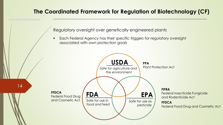Regulatory oversight over genetically engineered plants

**Each Federal Agency has their specific triggers for regulatory oversight** associated with own protection goals

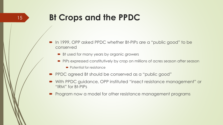# **Bt Crops and the PPDC**

- In 1999, OPP asked PPDC whether Bt-PIPs are a "public good" to be conserved
	- Bt used for many years by organic growers
	- **PIPs expressed constitutively by crop on millions of acres season after season** 
		- Potential for resistance
- PPDC agreed Bt should be conserved as a "public good"
- With PPDC guidance, OPP instituted "insect resistance management" or "IRM" for Bt-PIPs
- **Program now a model for other resistance management programs**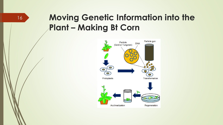# **Moving Genetic Information into the Plant – Making Bt Corn**

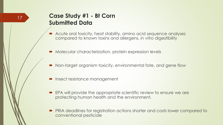### **Case Study #1 - Bt Corn Submitted Data**

- Acute oral toxicity, heat stability, amino acid sequence analyses compared to known toxins and allergens, *in vitro* digestibility
- Molecular characterization, protein expression levels
- Non-target organism toxicity, environmental fate, and gene flow
- **Insect resistance management**
- **EPA will provide the appropriate scientific review to ensure we are** protecting human health and the environment.
- PRIA deadlines for registration actions shorter and costs lower compared to conventional pesticide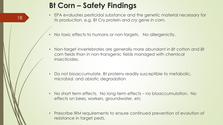# **Bt Corn – Safety Findings**

- EPA evaluates pesticidal substance and the genetic material necessary for its production, e.g. Bt Cry protein and *cry* gene in corn.
- No toxic effects to humans or non-targets. No allergenicity.
- Non-target invertebrates are generally more abundant in *Bt* cotton and *Bt* corn fields than in non-transgenic fields managed with chemical insecticides.
- Do not bioaccumulate. Bt proteins readily susceptible to metabolic, microbial, and abiotic degradation
- No short term effects. No long term effects no bioaccumulation. No effects on bees, workers, groundwater, etc
- Prescribe IRM requirements to ensure continued prevention of evolution of resistance in target pests.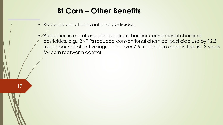### **Bt Corn – Other Benefits**

• Reduced use of conventional pesticides.

19

 $\sqrt{\mathsf{Reduction}}$  in use of broader spectrum, harsher conventional chemical pesticides, e.g., Bt-PIPs reduced conventional chemical pesticide use by 12.5 million pounds of active ingredient over 7.5 million corn acres in the first 3 years for corn rootworm control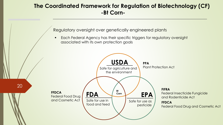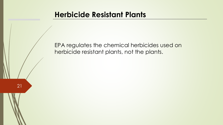### **Herbicide Resistant Plants**

EPA regulates the chemical herbicides used on herbicide resistant plants, not the plants.

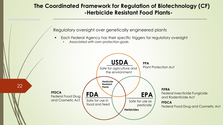#### **The Coordinated Framework for Regulation of Biotechnology (CF) -Herbicide Resistant Food Plants-**

Regulatory oversight over genetically engineered plants

- **Each Federal Agency has their specific triggers for regulatory oversight** 
	- Associated with own protection goals

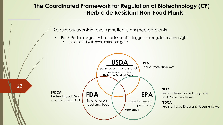#### **The Coordinated Framework for Regulation of Biotechnology (CF) -Herbicide Resistant Non-Food Plants-**

Regulatory oversight over genetically engineered plants

- **Each Federal Agency has their specific triggers for regulatory oversight** 
	- Associated with own protection goals

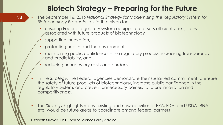# **Biotech Strategy – Preparing for the Future**

- The September 16, 2016 *National Strategy for Modernizing the Regulatory System for Biotechnology Products* sets forth a vision for:
	- ensuring Federal regulatory system equipped to assess efficiently risks, if any, associated with future products of biotechnology
	- supporting innovation,
	- protecting health and the environment,
	- maintaining public confidence in the regulatory process, increasing transparency and predictability, and
	- reducing unnecessary costs and burdens.
- In the *Strategy*, the Federal agencies demonstrate their sustained commitment to ensure the safety of future products of biotechnology, increase public confidence in the regulatory system, and prevent unnecessary barriers to future innovation and competitiveness.
- The *Strategy* highlights many existing and new activities at EPA, FDA, and USDA. RNAi, etc. would be future areas to coordinate among federal partners

Elizabeth Milewski, Ph.D., Senior Science Policy Advisor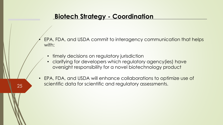• EPA, FDA, and USDA commit to interagency communication that helps with:

- timely decisions on regulatory jurisdiction
- clarifying for developers which regulatory agency(ies) have oversight responsibility for a novel biotechnology product
- EPA, FDA, and USDA will enhance collaborations to optimize use of scientific data for scientific and regulatory assessments.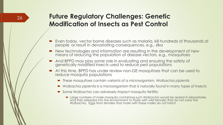### **Future Regulatory Challenges: Genetic Modification of Insects as Pest Control**

- Even today, vector borne diseases such as malaria, kill hundreds of thousands of people or result in devastating consequences, e.g., zika
- New technologies and information are resulting in the development of new means of reducing the population of disease vectors, e.g., mosquitoes
- And BPPD may play some role in evaluating and ensuring the safety of genetically modified insects used to reduce pest populations
- At this time, BPPD has under review non-GE mosquitoes that can be used to reduce mosquito populations
	- These mosquitoes contain variants of a microorganism, *Wolbachia pipientis*
	- *Wolbachia pipientis* is a microorganism that is naturally found in many types of insects
	- Some *Wolbachia* can adversely impact mosquito fertility
		- Large numbers of male mosquito containing such *Wolbachia* would be reared in laboratories and then released into the environment to mate with wild females that do not carry the *Wolbachia.* Eggs from females that mate with these males do not hatch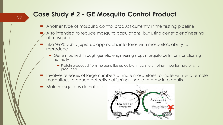### **Case Study # 2 - GE Mosquito Control Product**

- Another type of mosquito control product currently in the testing pipeline
- Also intended to reduce mosquito populations, but using genetic engineering of mosquito
- Like *Wolbachia pipientis* approach, interferes with mosquito's ability to reproduce
	- Gene modified through genetic engineering stops mosquito cells from functioning normally
		- Protein produced from the gene ties up cellular machinery other important proteins not produced
- Involves releases of large numbers of male mosquitoes to mate with wild female mosquitoes, produce defective offspring unable to grow into adults
- Male mosquitoes do not bite

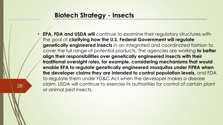### **Biotech Strategy - Insects**

28

**EPA, FDA and USDA will** continue to examine their regulatory structures with the goal of **clarifying how the U.S. Federal Government will regulate genetically engineered insects** in an integrated and coordinated fashion to cover the full range of potential products. The agencies are working **to better align their responsibilities over genetically engineered insects with their traditional oversight roles, for example, considering mechanisms that would enable EPA to regulate genetically engineered mosquitos under FIFRA when the developer claims they are intended to control population levels,** and FDA to regulate them under FD&C Act when the developer makes a disease claim. USDA will continue to exercise its authorities for control of certain plant or animal pest insects.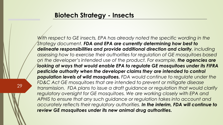*With respect to GE insects, EPA has already noted the specific wording in the Strategy document. FDA and EPA are currently determining how best to delineate responsibilities and provide additional direction and clarity, including assessing how to exercise their authorities for regulation of GE mosquitoes based on the developer's intended use of the product. For example, the agencies are looking at ways that would enable EPA to regulate GE mosquitoes under its FIFRA pesticide authority when the developer claims they are intended to control population levels of wild mosquitoes. FDA would continue to regulate under the FD&C Act GE mosquitoes that are intended to prevent or mitigate disease transmission. FDA plans to issue a draft guidance or regulation that would clarify*  regulatory oversight for GE mosquitoes. We are working closely with EPA and *APHIS to ensure that any such guidance or regulation takes into account and accurately reflects their regulatory authorities. In the interim, FDA will continue to review GE mosquitoes under its new animal drug authorities.* 

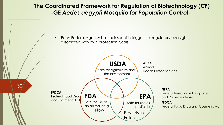#### **The Coordinated Framework for Regulation of Biotechnology (CF) -GE** *Aedes aegypti Mosquito for Population Control***-**

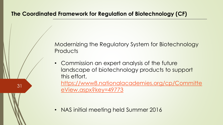Modernizing the Regulatory System for Biotechnology **Products** 

• Commission an expert analysis of the future landscape of biotechnology products to support this effort,

[https://www8.nationalacademies.org/cp/Committe](https://www8.nationalacademies.org/cp/CommitteeView.aspx?key=49773) eView.aspx?key=49773

• NAS initial meeting held Summer 2016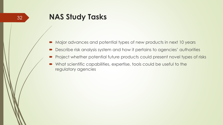- Major advances and potential types of new products in next 10 years
- Describe risk analysis system and how it pertains to agencies' authorities
- Project whether potential future products could present novel types of risks
- What scientific capabilities, expertise, tools could be useful to the regulatory agencies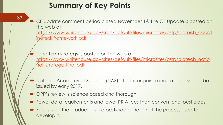# **Summary of Key Points**

33

■ CF Update comment period closed November 1st. The CF Update is posted on the web at [https://www.whitehouse.gov/sites/default/files/microsites/ostp/biotech\\_coord](https://www.whitehouse.gov/sites/default/files/microsites/ostp/biotech_coordinated_framework.pdf) inated\_framework.pdf

 Long term strategy is posted on the web at [https://www.whitehouse.gov/sites/default/files/microsites/ostp/biotech\\_natio](https://www.whitehouse.gov/sites/default/files/microsites/ostp/biotech_national_strategy_final.pdf) <u>nal\_strategy\_final.pdf</u>

- National Academy of Science (NAS) effort is ongoing and a report should be issued by early 2017.
- OPP's review is science based and thorough.
- Fewer data requirements and lower PRIA fees than conventional pesticides
- Focus is on the product is it a pesticide or not not the process used to develop it.